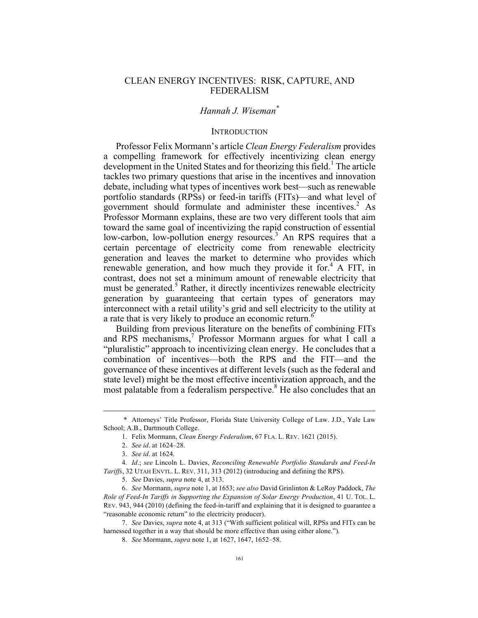# CLEAN ENERGY INCENTIVES: RISK, CAPTURE, AND FEDERALISM

## *Hannah J. Wiseman\**

#### **INTRODUCTION**

Professor Felix Mormann's article *Clean Energy Federalism* provides a compelling framework for effectively incentivizing clean energy development in the United States and for theorizing this field.<sup>1</sup> The article tackles two primary questions that arise in the incentives and innovation debate, including what types of incentives work best—such as renewable portfolio standards (RPSs) or feed-in tariffs (FITs)—and what level of government should formulate and administer these incentives. $<sup>2</sup>$  As</sup> Professor Mormann explains, these are two very different tools that aim toward the same goal of incentivizing the rapid construction of essential low-carbon, low-pollution energy resources.<sup>3</sup> An RPS requires that a certain percentage of electricity come from renewable electricity generation and leaves the market to determine who provides which renewable generation, and how much they provide it for.<sup>4</sup> A FIT, in contrast, does not set a minimum amount of renewable electricity that must be generated.<sup>5</sup> Rather, it directly incentivizes renewable electricity generation by guaranteeing that certain types of generators may interconnect with a retail utility's grid and sell electricity to the utility at a rate that is very likely to produce an economic return.<sup>6</sup>

Building from previous literature on the benefits of combining FITs and RPS mechanisms,<sup>7</sup> Professor Mormann argues for what I call a "pluralistic" approach to incentivizing clean energy. He concludes that a combination of incentives—both the RPS and the FIT—and the governance of these incentives at different levels (such as the federal and state level) might be the most effective incentivization approach, and the most palatable from a federalism perspective.<sup>8</sup> He also concludes that an

 <sup>\*</sup> Attorneys' Title Professor, Florida State University College of Law. J.D., Yale Law School; A.B., Dartmouth College.

<sup>1.</sup> Felix Mormann, *Clean Energy Federalism*, 67 FLA. L. REV. 1621 (2015).

<sup>2.</sup> *See id*. at 1624–28.

<sup>3.</sup> *See id*. at 1624.

<sup>4.</sup> *Id*.; *see* Lincoln L. Davies, *Reconciling Renewable Portfolio Standards and Feed-In Tariffs*, 32 UTAH ENVTL. L. REV. 311, 313 (2012) (introducing and defining the RPS).

<sup>5.</sup> *See* Davies, *supra* note 4, at 313.

<sup>6.</sup> *See* Mormann, *supra* note 1, at 1653; *see also* David Grinlinton & LeRoy Paddock, *The Role of Feed-In Tariffs in Supporting the Expansion of Solar Energy Production*, 41 U. TOL. L. REV. 943, 944 (2010) (defining the feed-in-tariff and explaining that it is designed to guarantee a "reasonable economic return" to the electricity producer).

<sup>7.</sup> *See* Davies, *supra* note 4, at 313 ("With sufficient political will, RPSs and FITs can be harnessed together in a way that should be more effective than using either alone.").

<sup>8.</sup> *See* Mormann, *supra* note 1, at 1627, 1647, 1652–58.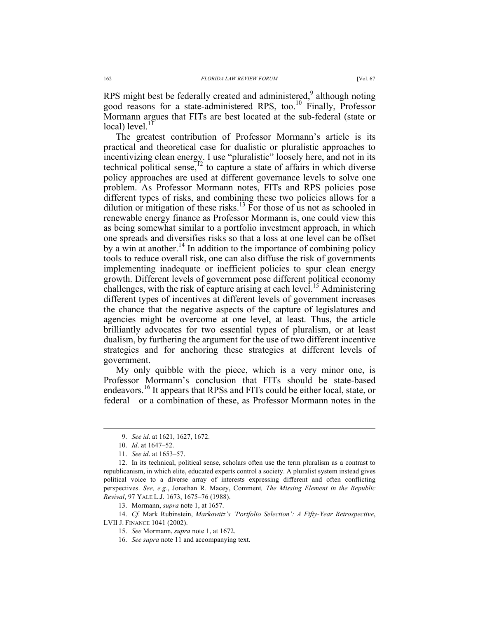RPS might best be federally created and administered,<sup>9</sup> although noting good reasons for a state-administered RPS, too. <sup>10</sup> Finally, Professor Mormann argues that FITs are best located at the sub-federal (state or  $local) level.<sup>11</sup>$ 

The greatest contribution of Professor Mormann's article is its practical and theoretical case for dualistic or pluralistic approaches to incentivizing clean energy. I use "pluralistic" loosely here, and not in its technical political sense, $12$  to capture a state of affairs in which diverse policy approaches are used at different governance levels to solve one problem. As Professor Mormann notes, FITs and RPS policies pose different types of risks, and combining these two policies allows for a dilution or mitigation of these risks.<sup>13</sup> For those of us not as schooled in renewable energy finance as Professor Mormann is, one could view this as being somewhat similar to a portfolio investment approach, in which one spreads and diversifies risks so that a loss at one level can be offset by a win at another.<sup>14</sup> In addition to the importance of combining policy tools to reduce overall risk, one can also diffuse the risk of governments implementing inadequate or inefficient policies to spur clean energy growth. Different levels of government pose different political economy challenges, with the risk of capture arising at each level.<sup>15</sup> Administering different types of incentives at different levels of government increases the chance that the negative aspects of the capture of legislatures and agencies might be overcome at one level, at least. Thus, the article brilliantly advocates for two essential types of pluralism, or at least dualism, by furthering the argument for the use of two different incentive strategies and for anchoring these strategies at different levels of government.

My only quibble with the piece, which is a very minor one, is Professor Mormann's conclusion that FITs should be state-based endeavors.<sup>16</sup> It appears that RPSs and FITs could be either local, state, or federal—or a combination of these, as Professor Mormann notes in the

 <sup>9.</sup> *See id*. at 1621, 1627, 1672.

<sup>10.</sup> *Id*. at 1647–52.

<sup>11.</sup> *See id*. at 1653–57.

<sup>12.</sup> In its technical, political sense, scholars often use the term pluralism as a contrast to republicanism, in which elite, educated experts control a society. A pluralist system instead gives political voice to a diverse array of interests expressing different and often conflicting perspectives. *See, e.g.*, Jonathan R. Macey, Comment*, The Missing Element in the Republic Revival*, 97 YALE L.J. 1673, 1675–76 (1988).

<sup>13.</sup> Mormann, *supra* note 1, at 1657.

<sup>14.</sup> *Cf.* Mark Rubinstein, *Markowitz's 'Portfolio Selection': A Fifty-Year Retrospective*, LVII J. FINANCE 1041 (2002).

<sup>15.</sup> *See* Mormann, *supra* note 1, at 1672.

<sup>16.</sup> *See supra* note 11 and accompanying text.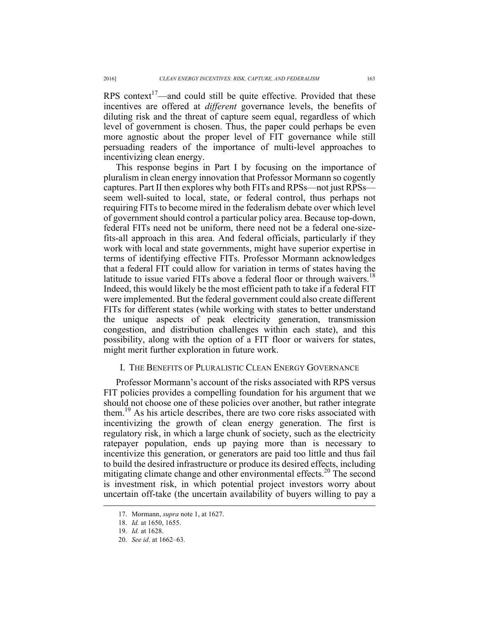RPS context<sup>17</sup>—and could still be quite effective. Provided that these incentives are offered at *different* governance levels, the benefits of diluting risk and the threat of capture seem equal, regardless of which level of government is chosen. Thus, the paper could perhaps be even more agnostic about the proper level of FIT governance while still persuading readers of the importance of multi-level approaches to incentivizing clean energy.

This response begins in Part I by focusing on the importance of pluralism in clean energy innovation that Professor Mormann so cogently captures. Part II then explores why both FITs and RPSs—not just RPSs seem well-suited to local, state, or federal control, thus perhaps not requiring FITs to become mired in the federalism debate over which level of government should control a particular policy area. Because top-down, federal FITs need not be uniform, there need not be a federal one-sizefits-all approach in this area. And federal officials, particularly if they work with local and state governments, might have superior expertise in terms of identifying effective FITs. Professor Mormann acknowledges that a federal FIT could allow for variation in terms of states having the latitude to issue varied FITs above a federal floor or through waivers.<sup>18</sup> Indeed, this would likely be the most efficient path to take if a federal FIT were implemented. But the federal government could also create different FITs for different states (while working with states to better understand the unique aspects of peak electricity generation, transmission congestion, and distribution challenges within each state), and this possibility, along with the option of a FIT floor or waivers for states, might merit further exploration in future work.

# I. THE BENEFITS OF PLURALISTIC CLEAN ENERGY GOVERNANCE

Professor Mormann's account of the risks associated with RPS versus FIT policies provides a compelling foundation for his argument that we should not choose one of these policies over another, but rather integrate them.<sup>19</sup> As his article describes, there are two core risks associated with incentivizing the growth of clean energy generation. The first is regulatory risk, in which a large chunk of society, such as the electricity ratepayer population, ends up paying more than is necessary to incentivize this generation, or generators are paid too little and thus fail to build the desired infrastructure or produce its desired effects, including mitigating climate change and other environmental effects.<sup>20</sup> The second is investment risk, in which potential project investors worry about uncertain off-take (the uncertain availability of buyers willing to pay a

 <sup>17.</sup> Mormann, *supra* note 1, at 1627.

<sup>18.</sup> *Id.* at 1650, 1655.

<sup>19.</sup> *Id.* at 1628.

<sup>20.</sup> *See id*. at 1662–63.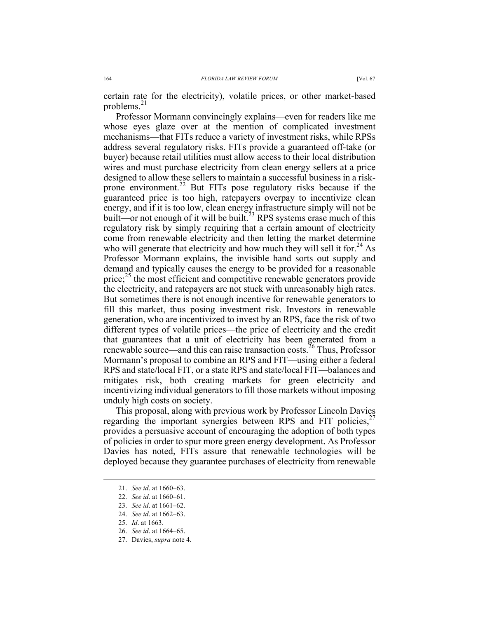certain rate for the electricity), volatile prices, or other market-based problems. $^{21}$ 

Professor Mormann convincingly explains—even for readers like me whose eyes glaze over at the mention of complicated investment mechanisms—that FITs reduce a variety of investment risks, while RPSs address several regulatory risks. FITs provide a guaranteed off-take (or buyer) because retail utilities must allow access to their local distribution wires and must purchase electricity from clean energy sellers at a price designed to allow these sellers to maintain a successful business in a riskprone environment.<sup>22</sup> But FITs pose regulatory risks because if the guaranteed price is too high, ratepayers overpay to incentivize clean energy, and if it is too low, clean energy infrastructure simply will not be built—or not enough of it will be built.<sup>23</sup> RPS systems erase much of this regulatory risk by simply requiring that a certain amount of electricity come from renewable electricity and then letting the market determine who will generate that electricity and how much they will sell it for.<sup>24</sup> As Professor Mormann explains, the invisible hand sorts out supply and demand and typically causes the energy to be provided for a reasonable price; $^{25}$  the most efficient and competitive renewable generators provide the electricity, and ratepayers are not stuck with unreasonably high rates. But sometimes there is not enough incentive for renewable generators to fill this market, thus posing investment risk. Investors in renewable generation, who are incentivized to invest by an RPS, face the risk of two different types of volatile prices—the price of electricity and the credit that guarantees that a unit of electricity has been generated from a renewable source—and this can raise transaction costs.<sup>26</sup> Thus, Professor Mormann's proposal to combine an RPS and FIT—using either a federal RPS and state/local FIT, or a state RPS and state/local FIT—balances and mitigates risk, both creating markets for green electricity and incentivizing individual generators to fill those markets without imposing unduly high costs on society.

This proposal, along with previous work by Professor Lincoln Davies regarding the important synergies between RPS and FIT policies, $27$ provides a persuasive account of encouraging the adoption of both types of policies in order to spur more green energy development. As Professor Davies has noted, FITs assure that renewable technologies will be deployed because they guarantee purchases of electricity from renewable

 <sup>21.</sup> *See id*. at 1660–63.

<sup>22.</sup> *See id*. at 1660–61.

<sup>23.</sup> *See id*. at 1661–62.

<sup>24.</sup> *See id*. at 1662–63.

<sup>25.</sup> *Id*. at 1663.

<sup>26.</sup> *See id*. at 1664–65.

<sup>27.</sup> Davies, *supra* note 4.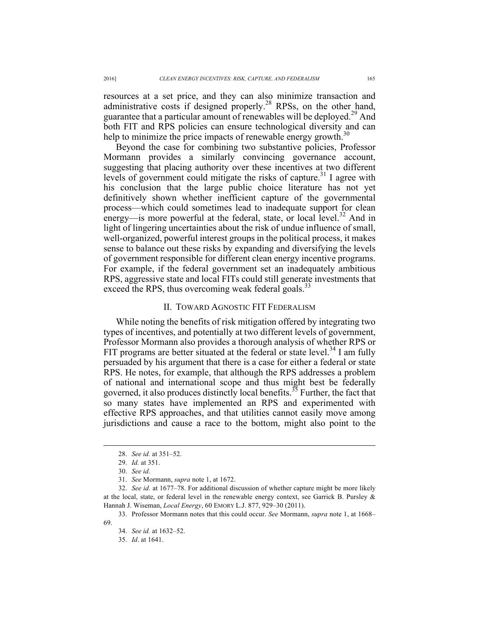resources at a set price, and they can also minimize transaction and administrative costs if designed properly.<sup>28</sup> RPSs, on the other hand, guarantee that a particular amount of renewables will be deployed.<sup>29</sup> And both FIT and RPS policies can ensure technological diversity and can help to minimize the price impacts of renewable energy growth.<sup>30</sup>

Beyond the case for combining two substantive policies, Professor Mormann provides a similarly convincing governance account, suggesting that placing authority over these incentives at two different levels of government could mitigate the risks of capture.<sup>31</sup> I agree with his conclusion that the large public choice literature has not yet definitively shown whether inefficient capture of the governmental process—which could sometimes lead to inadequate support for clean energy—is more powerful at the federal, state, or local level.<sup>32</sup> And in light of lingering uncertainties about the risk of undue influence of small, well-organized, powerful interest groups in the political process, it makes sense to balance out these risks by expanding and diversifying the levels of government responsible for different clean energy incentive programs. For example, if the federal government set an inadequately ambitious RPS, aggressive state and local FITs could still generate investments that exceed the RPS, thus overcoming weak federal goals.<sup>33</sup>

#### II. TOWARD AGNOSTIC FIT FEDERALISM

While noting the benefits of risk mitigation offered by integrating two types of incentives, and potentially at two different levels of government, Professor Mormann also provides a thorough analysis of whether RPS or FIT programs are better situated at the federal or state level.<sup>34</sup> I am fully persuaded by his argument that there is a case for either a federal or state RPS. He notes, for example, that although the RPS addresses a problem of national and international scope and thus might best be federally governed, it also produces distinctly local benefits.<sup>35</sup> Further, the fact that so many states have implemented an RPS and experimented with effective RPS approaches, and that utilities cannot easily move among jurisdictions and cause a race to the bottom, might also point to the

 <sup>28.</sup> *See id.* at 351–52.

<sup>29.</sup> *Id.* at 351.

<sup>30.</sup> *See id*.

<sup>31.</sup> *See* Mormann, *supra* note 1, at 1672.

<sup>32.</sup> *See id.* at 1677–78. For additional discussion of whether capture might be more likely at the local, state, or federal level in the renewable energy context, see Garrick B. Pursley & Hannah J. Wiseman, *Local Energy*, 60 EMORY L.J. 877, 929–30 (2011).

<sup>33.</sup> Professor Mormann notes that this could occur. *See* Mormann, *supra* note 1, at 1668– 69.

<sup>34.</sup> *See id.* at 1632–52.

<sup>35.</sup> *Id*. at 1641.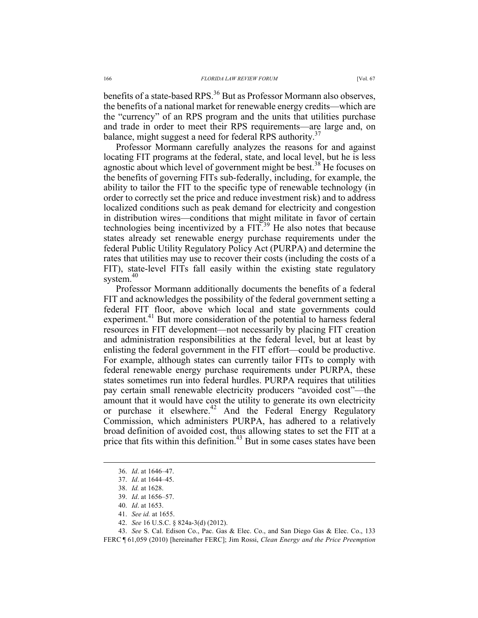benefits of a state-based RPS.<sup>36</sup> But as Professor Mormann also observes, the benefits of a national market for renewable energy credits—which are the "currency" of an RPS program and the units that utilities purchase and trade in order to meet their RPS requirements—are large and, on balance, might suggest a need for federal RPS authority.<sup>37</sup>

Professor Mormann carefully analyzes the reasons for and against locating FIT programs at the federal, state, and local level, but he is less agnostic about which level of government might be best.<sup>38</sup> He focuses on the benefits of governing FITs sub-federally, including, for example, the ability to tailor the FIT to the specific type of renewable technology (in order to correctly set the price and reduce investment risk) and to address localized conditions such as peak demand for electricity and congestion in distribution wires—conditions that might militate in favor of certain technologies being incentivized by a  $FIT<sup>39</sup>$  He also notes that because states already set renewable energy purchase requirements under the federal Public Utility Regulatory Policy Act (PURPA) and determine the rates that utilities may use to recover their costs (including the costs of a FIT), state-level FITs fall easily within the existing state regulatory system. $40$ 

Professor Mormann additionally documents the benefits of a federal FIT and acknowledges the possibility of the federal government setting a federal FIT floor, above which local and state governments could experiment.<sup>41</sup> But more consideration of the potential to harness federal resources in FIT development—not necessarily by placing FIT creation and administration responsibilities at the federal level, but at least by enlisting the federal government in the FIT effort—could be productive. For example, although states can currently tailor FITs to comply with federal renewable energy purchase requirements under PURPA, these states sometimes run into federal hurdles. PURPA requires that utilities pay certain small renewable electricity producers "avoided cost"—the amount that it would have cost the utility to generate its own electricity or purchase it elsewhere.<sup>42</sup> And the Federal Energy Regulatory Commission, which administers PURPA, has adhered to a relatively broad definition of avoided cost, thus allowing states to set the FIT at a price that fits within this definition.<sup>43</sup> But in some cases states have been

 <sup>36.</sup> *Id*. at 1646–47.

<sup>37.</sup> *Id*. at 1644–45.

<sup>38.</sup> *Id.* at 1628.

<sup>39.</sup> *Id*. at 1656–57.

<sup>40.</sup> *Id*. at 1653.

<sup>41.</sup> *See id.* at 1655.

<sup>42.</sup> *See* 16 U.S.C. § 824a-3(d) (2012).

<sup>43.</sup> *See* S. Cal. Edison Co., Pac. Gas & Elec. Co., and San Diego Gas & Elec. Co., 133 FERC ¶ 61,059 (2010) [hereinafter FERC]; Jim Rossi, *Clean Energy and the Price Preemption*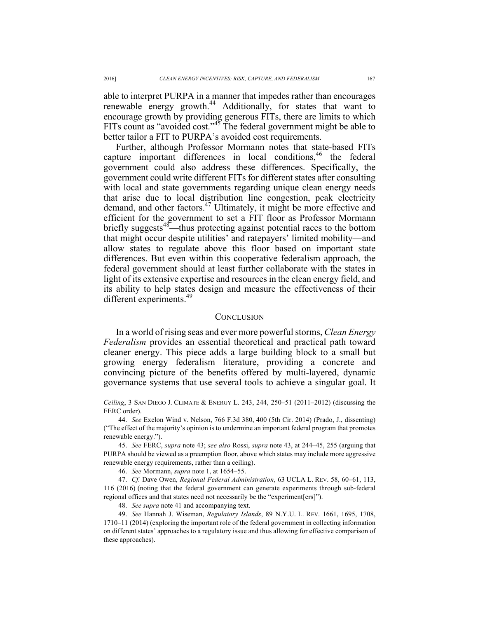able to interpret PURPA in a manner that impedes rather than encourages renewable energy growth.<sup>44</sup> Additionally, for states that want to encourage growth by providing generous FITs, there are limits to which FITs count as "avoided cost." $45$  The federal government might be able to better tailor a FIT to PURPA's avoided cost requirements.

Further, although Professor Mormann notes that state-based FITs capture important differences in local conditions,<sup>46</sup> the federal government could also address these differences. Specifically, the government could write different FITs for different states after consulting with local and state governments regarding unique clean energy needs that arise due to local distribution line congestion, peak electricity demand, and other factors.<sup>47</sup> Ultimately, it might be more effective and efficient for the government to set a FIT floor as Professor Mormann briefly suggests<sup>48</sup>—thus protecting against potential races to the bottom that might occur despite utilities' and ratepayers' limited mobility—and allow states to regulate above this floor based on important state differences. But even within this cooperative federalism approach, the federal government should at least further collaborate with the states in light of its extensive expertise and resources in the clean energy field, and its ability to help states design and measure the effectiveness of their different experiments.<sup>49</sup>

## **CONCLUSION**

In a world of rising seas and ever more powerful storms, *Clean Energy Federalism* provides an essential theoretical and practical path toward cleaner energy. This piece adds a large building block to a small but growing energy federalism literature, providing a concrete and convincing picture of the benefits offered by multi-layered, dynamic governance systems that use several tools to achieve a singular goal. It

48. *See supra* note 41 and accompanying text.

1

*Ceiling*, 3 SAN DIEGO J. CLIMATE & ENERGY L. 243, 244, 250–51 (2011–2012) (discussing the FERC order).

<sup>44.</sup> *See* Exelon Wind v. Nelson, 766 F.3d 380, 400 (5th Cir. 2014) (Prado, J., dissenting) ("The effect of the majority's opinion is to undermine an important federal program that promotes renewable energy.").

<sup>45.</sup> *See* FERC, *supra* note 43; *see also* Rossi, *supra* note 43, at 244–45, 255 (arguing that PURPA should be viewed as a preemption floor, above which states may include more aggressive renewable energy requirements, rather than a ceiling).

<sup>46.</sup> *See* Mormann, *supra* note 1, at 1654–55.

<sup>47.</sup> *Cf.* Dave Owen, *Regional Federal Administration*, 63 UCLA L. REV. 58, 60–61, 113, 116 (2016) (noting that the federal government can generate experiments through sub-federal regional offices and that states need not necessarily be the "experiment[ers]").

<sup>49.</sup> *See* Hannah J. Wiseman, *Regulatory Islands*, 89 N.Y.U. L. REV. 1661, 1695, 1708, 1710–11 (2014) (exploring the important role of the federal government in collecting information on different states' approaches to a regulatory issue and thus allowing for effective comparison of these approaches).